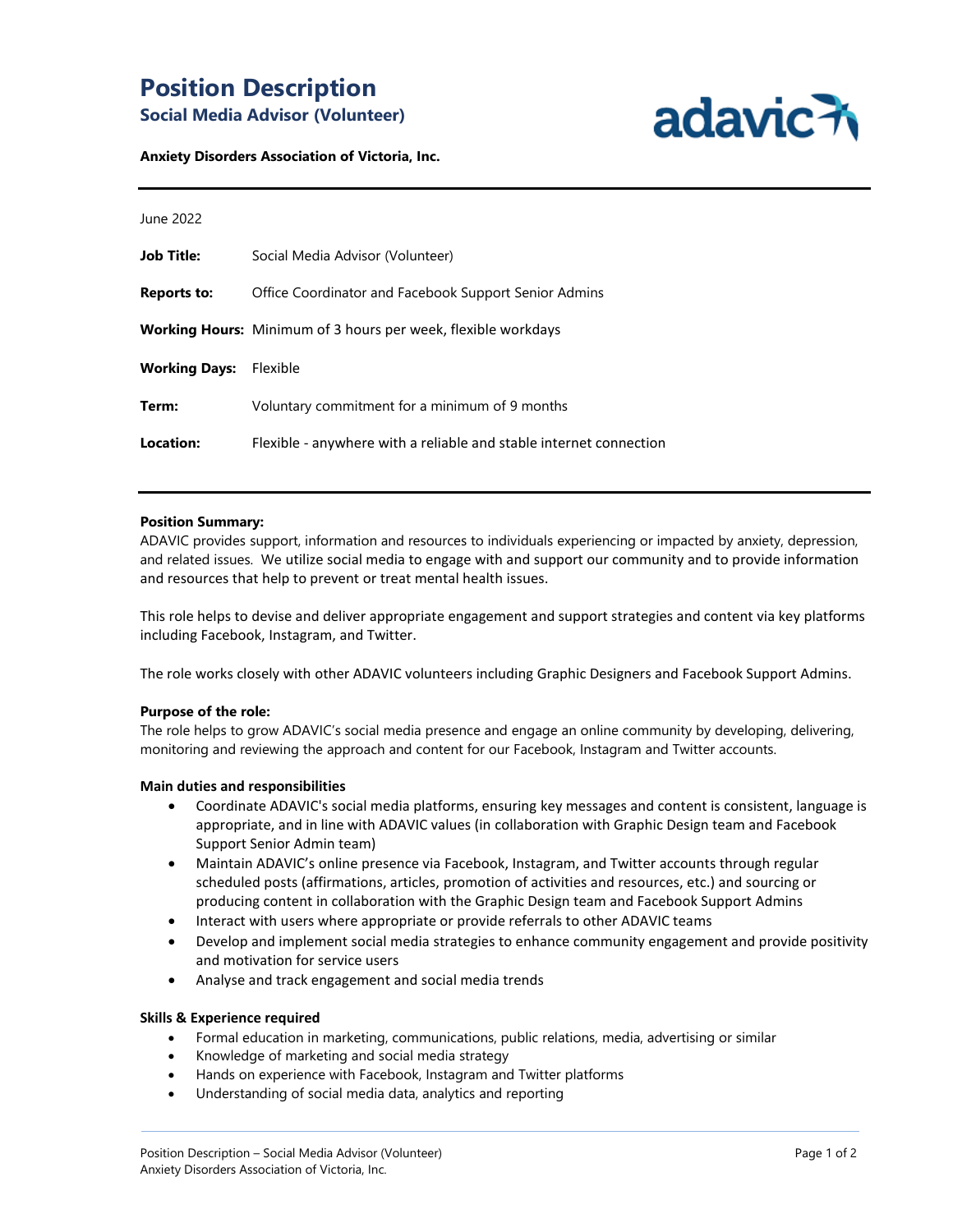# **Position Description Social Media Advisor (Volunteer)**



#### **Anxiety Disorders Association of Victoria, Inc.**

| June 2022            |                                                                      |
|----------------------|----------------------------------------------------------------------|
| <b>Job Title:</b>    | Social Media Advisor (Volunteer)                                     |
| Reports to:          | Office Coordinator and Facebook Support Senior Admins                |
|                      | <b>Working Hours:</b> Minimum of 3 hours per week, flexible workdays |
| <b>Working Days:</b> | Flexible                                                             |
| Term:                | Voluntary commitment for a minimum of 9 months                       |
| Location:            | Flexible - anywhere with a reliable and stable internet connection   |
|                      |                                                                      |

#### **Position Summary:**

ADAVIC provides support, information and resources to individuals experiencing or impacted by anxiety, depression, and related issues. We utilize social media to engage with and support our community and to provide information and resources that help to prevent or treat mental health issues.

This role helps to devise and deliver appropriate engagement and support strategies and content via key platforms including Facebook, Instagram, and Twitter.

The role works closely with other ADAVIC volunteers including Graphic Designers and Facebook Support Admins.

#### **Purpose of the role:**

The role helps to grow ADAVIC's social media presence and engage an online community by developing, delivering, monitoring and reviewing the approach and content for our Facebook, Instagram and Twitter accounts.

#### **Main duties and responsibilities**

- Coordinate ADAVIC's social media platforms, ensuring key messages and content is consistent, language is appropriate, and in line with ADAVIC values (in collaboration with Graphic Design team and Facebook Support Senior Admin team)
- Maintain ADAVIC's online presence via Facebook, Instagram, and Twitter accounts through regular scheduled posts (affirmations, articles, promotion of activities and resources, etc.) and sourcing or producing content in collaboration with the Graphic Design team and Facebook Support Admins
- Interact with users where appropriate or provide referrals to other ADAVIC teams
- Develop and implement social media strategies to enhance community engagement and provide positivity and motivation for service users
- Analyse and track engagement and social media trends

### **Skills & Experience required**

- Formal education in marketing, communications, public relations, media, advertising or similar
- Knowledge of marketing and social media strategy
- Hands on experience with Facebook, Instagram and Twitter platforms
- Understanding of social media data, analytics and reporting